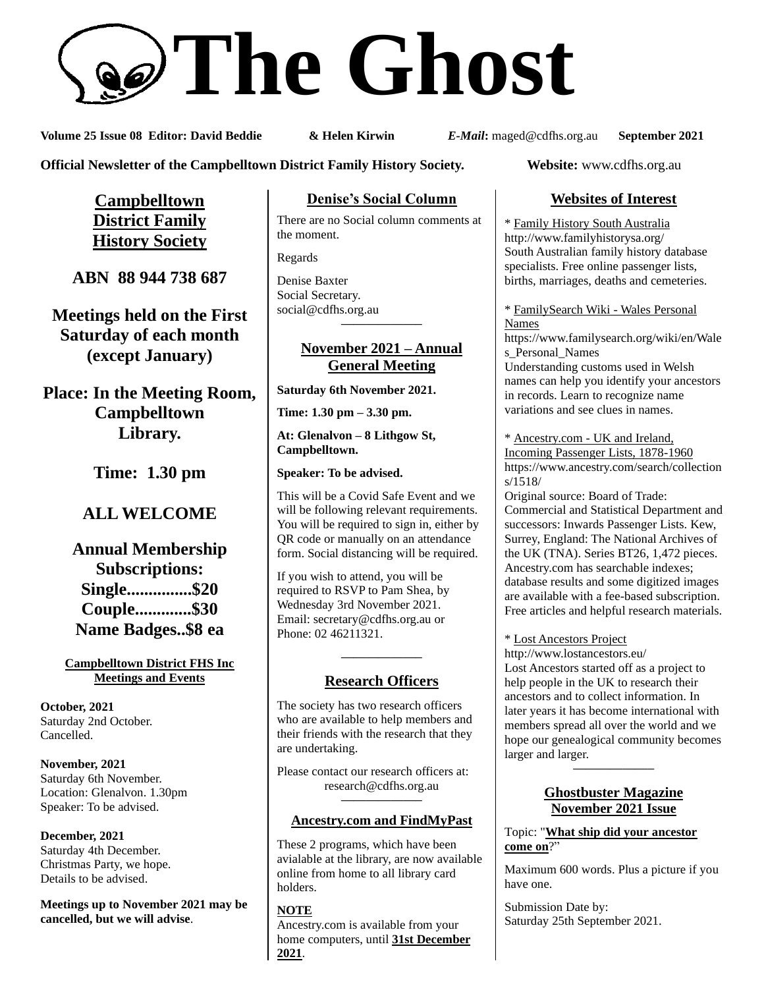# **The Ghost**

**Volume 25 Issue 08 Editor: David Beddie & Helen Kirwin** *E-Mail***:** maged@cdfhs.org.au **September 2021**

**Official Newsletter of the Campbelltown District Family History Society. Website:** www.cdfhs.org.au

**Campbelltown District Family History Society**

**ABN 88 944 738 687**

**Meetings held on the First Saturday of each month (except January)**

**Place: In the Meeting Room, Campbelltown Library.**

**Time: 1.30 pm**

# **ALL WELCOME**

**Annual Membership Subscriptions: Single...............\$20 Couple.............\$30 Name Badges..\$8 ea**

#### **Campbelltown District FHS Inc Meetings and Events**

**October, 2021** Saturday 2nd October. Cancelled.

**November, 2021** Saturday 6th November. Location: Glenalvon. 1.30pm Speaker: To be advised.

**December, 2021** Saturday 4th December. Christmas Party, we hope. Details to be advised.

**Meetings up to November 2021 may be cancelled, but we will advise**.

#### **Denise's Social Column**

There are no Social column comments at the moment.

Regards

Denise Baxter Social Secretary. [social@cdfhs.org.au](mailto:social@cdfhs.org.au) **——————–**

#### **November 2021 – Annual General Meeting**

**Saturday 6th November 2021.**

**Time: 1.30 pm – 3.30 pm.**

**At: Glenalvon – 8 Lithgow St, Campbelltown.**

**Speaker: To be advised.**

This will be a Covid Safe Event and we will be following relevant requirements. You will be required to sign in, either by QR code or manually on an attendance form. Social distancing will be required.

If you wish to attend, you will be required to RSVP to Pam Shea, by Wednesday 3rd November 2021. Email: [secretary@cdfhs.org.au](mailto:secretary@cdfhs.org.au) or Phone: 02 46211321.

# **——————– Research Officers**

The society has two research officers who are available to help members and their friends with the research that they are undertaking.

Please contact our research officers at: research@cdfhs.org.au

#### **——————– Ancestry.com and FindMyPast**

These 2 programs, which have been avialable at the library, are now available online from home to all library card holders.

**NOTE** Ancestry.com is available from your home computers, until **31st December 2021**.

## **Websites of Interest**

\* Family History South Australia http://www.familyhistorysa.org/ South Australian family history database specialists. Free online passenger lists, births, marriages, deaths and cemeteries.

\* FamilySearch Wiki - Wales Personal Names

https://www.familysearch.org/wiki/en/Wale s Personal Names Understanding customs used in Welsh names can help you identify your ancestors in records. Learn to recognize name

variations and see clues in names. \* Ancestry.com - UK and Ireland, Incoming Passenger Lists, 1878-1960 https://www.ancestry.com/search/collection

s/1518/ Original source: Board of Trade: Commercial and Statistical Department and successors: Inwards Passenger Lists. Kew, Surrey, England: The National Archives of the UK (TNA). Series BT26, 1,472 pieces. Ancestry.com has searchable indexes; database results and some digitized images are available with a fee-based subscription. Free articles and helpful research materials.

\* Lost Ancestors Project

http://www.lostancestors.eu/ Lost Ancestors started off as a project to help people in the UK to research their ancestors and to collect information. In later years it has become international with members spread all over the world and we hope our genealogical community becomes larger and larger.

#### **Ghostbuster Magazine November 2021 Issue**

**——————–**

Topic: "**What ship did your ancestor come on**?"

Maximum 600 words. Plus a picture if you have one.

Submission Date by: Saturday 25th September 2021.